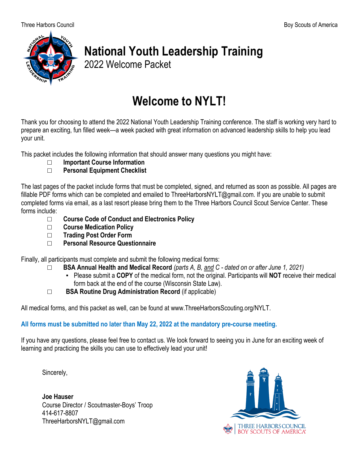

# **National Youth Leadership Training**

2022 Welcome Packet

# **Welcome to NYLT!**

Thank you for choosing to attend the 2022 National Youth Leadership Training conference. The staff is working very hard to prepare an exciting, fun filled week—a week packed with great information on advanced leadership skills to help you lead your unit.

This packet includes the following information that should answer many questions you might have:

□ **Important Course Information**

#### **Personal Equipment Checklist**

The last pages of the packet include forms that must be completed, signed, and returned as soon as possible. All pages are fillable PDF forms which can be completed and emailed to ThreeHarborsNYLT@gmail.com. If you are unable to submit completed forms via email, as a last resort please bring them to the Three Harbors Council Scout Service Center. These forms include:

- □ **Course Code of Conduct and Electronics Policy**
- □ **Course Medication Policy**
- □ **Trading Post Order Form**
- □ **Personal Resource Questionnaire**

Finally, all participants must complete and submit the following medical forms:

- □ **BSA Annual Health and Medical Record** *(parts A, B, and C - dated on or after June 1, 2021)*
	- Please submit a **COPY** of the medical form, not the original. Participants will **NOT** receive their medical form back at the end of the course (Wisconsin State Law).
- □ **BSA Routine Drug Administration Record** (if applicable)

All medical forms, and this packet as well, can be found at www.ThreeHarborsScouting.org/NYLT.

#### **All forms must be submitted no later than May 22, 2022 at the mandatory pre-course meeting.**

If you have any questions, please feel free to contact us. We look forward to seeing you in June for an exciting week of learning and practicing the skills you can use to effectively lead your unit!

Sincerely,

**Joe Hauser** Course Director / Scoutmaster-Boys' Troop 414-617-8807 ThreeHarborsNYLT@gmail.com

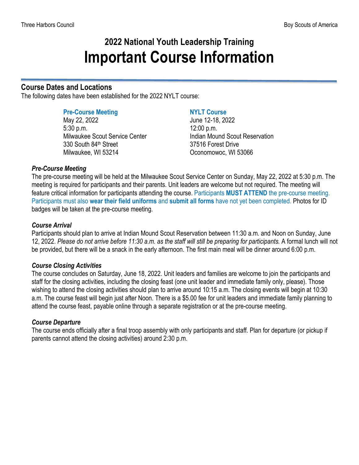### **2022 National Youth Leadership Training Important Course Information**

#### **Course Dates and Locations**

The following dates have been established for the 2022 NYLT course:

#### **Pre-Course Meeting NYLT Course**

May 22, 2022 June 12-18, 2022 5:30 p.m. 12:00 p.m. Milwaukee Scout Service Center **Indian Mound Scout Reservation** 330 South 84<sup>th</sup> Street 37516 Forest Drive Milwaukee, WI 53214 Oconomowoc, WI 53066

#### *Pre-Course Meeting*

The pre-course meeting will be held at the Milwaukee Scout Service Center on Sunday, May 22, 2022 at 5:30 p.m. The meeting is required for participants and their parents. Unit leaders are welcome but not required. The meeting will feature critical information for participants attending the course. Participants **MUST ATTEND** the pre-course meeting. Participants must also **wear their field uniforms** and **submit all forms** have not yet been completed. Photos for ID badges will be taken at the pre-course meeting.

#### *Course Arrival*

Participants should plan to arrive at Indian Mound Scout Reservation between 11:30 a.m. and Noon on Sunday, June 12, 2022. *Please do not arrive before 11:30 a.m. as the staff will still be preparing for participants.* A formal lunch will not be provided, but there will be a snack in the early afternoon. The first main meal will be dinner around 6:00 p.m.

#### *Course Closing Activities*

The course concludes on Saturday, June 18, 2022. Unit leaders and families are welcome to join the participants and staff for the closing activities, including the closing feast (one unit leader and immediate family only, please). Those wishing to attend the closing activities should plan to arrive around 10:15 a.m. The closing events will begin at 10:30 a.m. The course feast will begin just after Noon. There is a \$5.00 fee for unit leaders and immediate family planning to attend the course feast, payable online through a separate registration or at the pre-course meeting.

#### *Course Departure*

The course ends officially after a final troop assembly with only participants and staff. Plan for departure (or pickup if parents cannot attend the closing activities) around 2:30 p.m.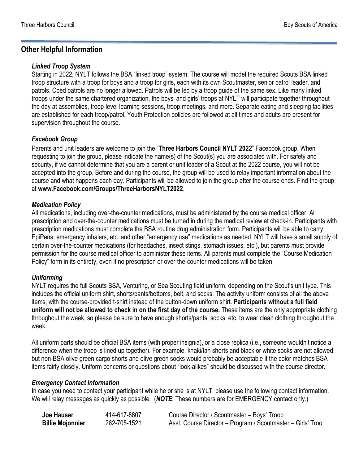#### **Other Helpful Information**

#### *Linked Troop System*

Starting in 2022, NYLT follows the BSA "linked troop" system. The course will model the required Scouts BSA linked troop structure with a troop for boys and a troop for girls, each with its own Scoutmaster, senior patrol leader, and patrols. Coed patrols are no longer allowed. Patrols will be led by a troop guide of the same sex. Like many linked troops under the same chartered organization, the boys' and girls' troops at NYLT will participate together throughout the day at assemblies, troop-level learning sessions, troop meetings, and more. Separate eating and sleeping facilities are established for each troop/patrol. Youth Protection policies are followed at all times and adults are present for supervision throughout the course.

#### *Facebook Group*

Parents and unit leaders are welcome to join the "**Three Harbors Council NYLT 2022**" Facebook group. When requesting to join the group, please indicate the name(s) of the Scout(s) you are associated with. For safety and security, if we cannot determine that you are a parent or unit leader of a Scout at the 2022 course, you will not be accepted into the group. Before and during the course, the group will be used to relay important information about the course and what happens each day. Participants will be allowed to join the group after the course ends. Find the group at **www.Facebook.com/Groups/ThreeHarborsNYLT2022**.

#### *Medication Policy*

All medications, including over-the-counter medications, must be administered by the course medical officer. All prescription and over-the-counter medications must be turned in during the medical review at check-in. Participants with prescription medications must complete the BSA routine drug administration form. Participants will be able to carry EpiPens, emergency inhalers, etc. and other "emergency use" medications as needed. NYLT will have a small supply of certain over-the-counter medications (for headaches, insect stings, stomach issues, etc.), but parents must provide permission for the course medical officer to administer these items. All parents must complete the "Course Medication Policy" form in its entirety, even if no prescription or over-the-counter medications will be taken.

#### *Uniforming*

NYLT requires the full Scouts BSA, Venturing, or Sea Scouting field uniform, depending on the Scout's unit type. This includes the official uniform shirt, shorts/pants/bottoms, belt, and socks. The activity uniform consists of all the above items, with the course-provided t-shirt instead of the button-down uniform shirt. **Participants without a full field uniform will not be allowed to check in on the first day of the course.** These items are the only appropriate clothing throughout the week, so please be sure to have enough shorts/pants, socks, etc. to wear clean clothing throughout the week.

All uniform parts should be official BSA items (with proper insignia), or a close replica (i.e., someone wouldn't notice a difference when the troop is lined up together). For example, khaki/tan shorts and black or white socks are not allowed, but non-BSA olive green cargo shorts and olive green socks would probably be acceptable if the color matches BSA items fairly closely. Uniform concerns or questions about "look-alikes" should be discussed with the course director.

#### *Emergency Contact Information*

In case you need to contact your participant while he or she is at NYLT, please use the following contact information. We will relay messages as quickly as possible. (*NOTE*: These numbers are for EMERGENCY contact only.)

| Joe Hauser              | 414-617-8807 | Course Director / Scoutmaster - Boys' Troop                 |
|-------------------------|--------------|-------------------------------------------------------------|
| <b>Billie Mojonnier</b> | 262-705-1521 | Asst. Course Director - Program / Scoutmaster - Girls' Troo |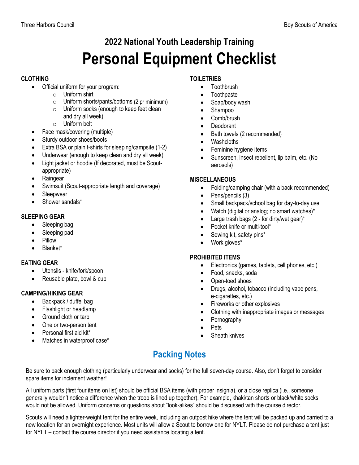# **2022 National Youth Leadership Training Personal Equipment Checklist**

#### **CLOTHING**

- Official uniform for your program:
	- o Uniform shirt
	- o Uniform shorts/pants/bottoms (2 pr minimum)
	- o Uniform socks (enough to keep feet clean and dry all week)
	- o Uniform belt
- Face mask/covering (multiple)
- Sturdy outdoor shoes/boots
- Extra BSA or plain t-shirts for sleeping/campsite (1-2)
- Underwear (enough to keep clean and dry all week)
- Light jacket or hoodie (If decorated, must be Scoutappropriate)
- Raingear
- Swimsuit (Scout-appropriate length and coverage)
- **Sleepwear**
- Shower sandals\*

#### **SLEEPING GEAR**

- Sleeping bag
- Sleeping pad
- Pillow
- Blanket\*

#### **EATING GEAR**

- Utensils knife/fork/spoon
- Reusable plate, bowl & cup

#### **CAMPING/HIKING GEAR**

- Backpack / duffel bag
- Flashlight or headlamp
- Ground cloth or tarp
- One or two-person tent
- Personal first aid kit\*
- Matches in waterproof case\*

#### **TOILETRIES**

- Toothbrush
- Toothpaste
- Soap/body wash
- Shampoo
- Comb/brush
- Deodorant
- Bath towels (2 recommended)
- Washcloths
- Feminine hygiene items
- Sunscreen, insect repellent, lip balm, etc. (No aerosols)

#### **MISCELLANEOUS**

- Folding/camping chair (with a back recommended)
- Pens/pencils (3)
- Small backpack/school bag for day-to-day use
- Watch (digital or analog; no smart watches)\*
- Large trash bags  $(2 -$  for dirty/wet gear)\*
- Pocket knife or multi-tool\*
- Sewing kit, safety pins\*
- Work gloves\*

#### **PROHIBITED ITEMS**

- Electronics (games, tablets, cell phones, etc.)
- Food, snacks, soda
- Open-toed shoes
- Drugs, alcohol, tobacco (including vape pens, e-cigarettes, etc.)
- Fireworks or other explosives
- Clothing with inappropriate images or messages
- Pornography
- Pets
- Sheath knives

### **Packing Notes**

Be sure to pack enough clothing (particularly underwear and socks) for the full seven-day course. Also, don't forget to consider spare items for inclement weather!

All uniform parts (first four items on list) should be official BSA items (with proper insignia), or a close replica (i.e., someone generally wouldn't notice a difference when the troop is lined up together). For example, khaki/tan shorts or black/white socks would not be allowed. Uniform concerns or questions about "look-alikes" should be discussed with the course director.

Scouts will need a lighter-weight tent for the entire week, including an outpost hike where the tent will be packed up and carried to a new location for an overnight experience. Most units will allow a Scout to borrow one for NYLT. Please do not purchase a tent just for NYLT – contact the course director if you need assistance locating a tent.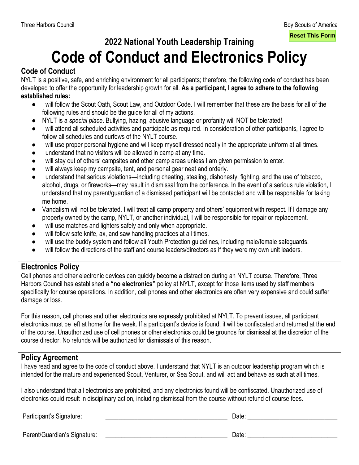**Reset This Form**

# **2022 National Youth Leadership Training**

# **Code of Conduct and Electronics Policy**

#### **Code of Conduct**

NYLT is a positive, safe, and enriching environment for all participants; therefore, the following code of conduct has been developed to offer the opportunity for leadership growth for all. **As a participant, I agree to adhere to the following established rules:**

- I will follow the Scout Oath, Scout Law, and Outdoor Code. I will remember that these are the basis for all of the following rules and should be the guide for all of my actions.
- NYLT is a *special place*. Bullying, hazing, abusive language or profanity will NOT be tolerated!
- I will attend all scheduled activities and participate as required. In consideration of other participants, I agree to follow all schedules and curfews of the NYLT course.
- I will use proper personal hygiene and will keep myself dressed neatly in the appropriate uniform at all times.
- I understand that no visitors will be allowed in camp at any time.
- I will stay out of others' campsites and other camp areas unless I am given permission to enter.
- I will always keep my campsite, tent, and personal gear neat and orderly.
- I understand that serious violations—including cheating, stealing, dishonesty, fighting, and the use of tobacco, alcohol, drugs, or fireworks—may result in dismissal from the conference. In the event of a serious rule violation, I understand that my parent/guardian of a dismissed participant will be contacted and will be responsible for taking me home.
- Vandalism will not be tolerated. I will treat all camp property and others' equipment with respect. If I damage any property owned by the camp, NYLT, or another individual, I will be responsible for repair or replacement.
- I will use matches and lighters safely and only when appropriate.
- I will follow safe knife, ax, and saw handling practices at all times.
- I will use the buddy system and follow all Youth Protection guidelines, including male/female safeguards.
- I will follow the directions of the staff and course leaders/directors as if they were my own unit leaders.

#### **Electronics Policy**

Cell phones and other electronic devices can quickly become a distraction during an NYLT course. Therefore, Three Harbors Council has established a **"no electronics"** policy at NYLT, except for those items used by staff members specifically for course operations. In addition, cell phones and other electronics are often very expensive and could suffer damage or loss.

For this reason, cell phones and other electronics are expressly prohibited at NYLT. To prevent issues, all participant electronics must be left at home for the week. If a participant's device is found, it will be confiscated and returned at the end of the course. Unauthorized use of cell phones or other electronics could be grounds for dismissal at the discretion of the course director. No refunds will be authorized for dismissals of this reason.

#### **Policy Agreement**

I have read and agree to the code of conduct above. I understand that NYLT is an outdoor leadership program which is intended for the mature and experienced Scout, Venturer, or Sea Scout, and will act and behave as such at all times.

I also understand that all electronics are prohibited, and any electronics found will be confiscated. Unauthorized use of electronics could result in disciplinary action, including dismissal from the course without refund of course fees.

Participant's Signature: \_\_\_\_\_\_\_\_\_\_\_\_\_\_\_\_\_\_\_\_\_\_\_\_\_\_\_\_\_\_\_\_\_\_\_\_\_\_ Date: \_\_\_\_\_\_\_\_\_\_\_\_\_\_\_\_\_\_\_\_\_\_\_\_\_\_\_\_

Parent/Guardian's Signature: \_\_\_\_\_\_\_\_\_\_\_\_\_\_\_\_\_\_\_\_\_\_\_\_\_\_\_\_\_\_\_\_\_\_\_\_\_\_ Date: \_\_\_\_\_\_\_\_\_\_\_\_\_\_\_\_\_\_\_\_\_\_\_\_\_\_\_\_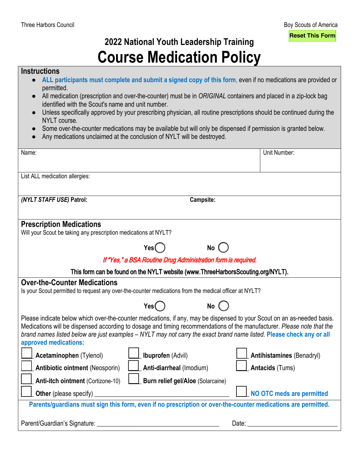## **2022 National Youth Leadership Training Course Medication Policy**

#### **Instructions**

- **ALL participants must complete and submit a signed copy of this form**, even if no medications are provided or permitted.
- All medication (prescription and over-the-counter) must be in *ORIGINAL* containers and placed in a zip-lock bag identified with the Scout's name and unit number.
- Unless specifically approved by your prescribing physician, all routine prescriptions should be continued during the NYLT course.
- Some over-the-counter medications may be available but will only be dispensed if permission is granted below.
- Any medications unclaimed at the conclusion of NYLT will be destroyed.

| Name:                                                                                                                                                                                                                                          | Unit Number:                                                                                                            |  |  |  |
|------------------------------------------------------------------------------------------------------------------------------------------------------------------------------------------------------------------------------------------------|-------------------------------------------------------------------------------------------------------------------------|--|--|--|
|                                                                                                                                                                                                                                                |                                                                                                                         |  |  |  |
| List ALL medication allergies:                                                                                                                                                                                                                 |                                                                                                                         |  |  |  |
|                                                                                                                                                                                                                                                |                                                                                                                         |  |  |  |
| (NYLT STAFF USE) Patrol:                                                                                                                                                                                                                       | Campsite:                                                                                                               |  |  |  |
|                                                                                                                                                                                                                                                |                                                                                                                         |  |  |  |
| <b>Prescription Medications</b>                                                                                                                                                                                                                |                                                                                                                         |  |  |  |
| Will your Scout be taking any prescription medications at NYLT?                                                                                                                                                                                |                                                                                                                         |  |  |  |
| Yes                                                                                                                                                                                                                                            | No                                                                                                                      |  |  |  |
|                                                                                                                                                                                                                                                | If "Yes," a BSA Routine Drug Administration form is required.                                                           |  |  |  |
|                                                                                                                                                                                                                                                | This form can be found on the NYLT website (www.ThreeHarborsScouting.org/NYLT).                                         |  |  |  |
| <b>Over-the-Counter Medications</b>                                                                                                                                                                                                            |                                                                                                                         |  |  |  |
| Is your Scout permitted to request any over-the-counter medications from the medical officer at NYLT?                                                                                                                                          |                                                                                                                         |  |  |  |
|                                                                                                                                                                                                                                                |                                                                                                                         |  |  |  |
| Yes(                                                                                                                                                                                                                                           | <b>No</b>                                                                                                               |  |  |  |
|                                                                                                                                                                                                                                                | Please indicate below which over-the-counter medications, if any, may be dispensed to your Scout on an as-needed basis. |  |  |  |
| Medications will be dispensed according to dosage and timing recommendations of the manufacturer. Please note that the<br>brand names listed below are just examples - NYLT may not carry the exact brand name listed. Please check any or all |                                                                                                                         |  |  |  |
| approved medications:                                                                                                                                                                                                                          |                                                                                                                         |  |  |  |
| <b>Ibuprofen</b> (Advil)<br>Acetaminophen (Tylenol)                                                                                                                                                                                            | <b>Antihistamines (Benadryl)</b>                                                                                        |  |  |  |
| <b>Antibiotic ointment (Neosporin)</b>                                                                                                                                                                                                         | Anti-diarrheal (Imodium)<br><b>Antacids (Tums)</b>                                                                      |  |  |  |
|                                                                                                                                                                                                                                                |                                                                                                                         |  |  |  |
| Anti-itch ointment (Cortizone-10)                                                                                                                                                                                                              | <b>Burn relief gel/Aloe (Solarcaine)</b>                                                                                |  |  |  |
| <b>Other</b> (please specify)                                                                                                                                                                                                                  | NO OTC meds are permitted                                                                                               |  |  |  |
|                                                                                                                                                                                                                                                | Parents/guardians must sign this form, even if no prescription or over-the-counter medications are permitted.           |  |  |  |
|                                                                                                                                                                                                                                                |                                                                                                                         |  |  |  |
| Parent/Guardian's Signature:                                                                                                                                                                                                                   | Date: and the part of the state of the state of the state of the state of the state of the state of the state o         |  |  |  |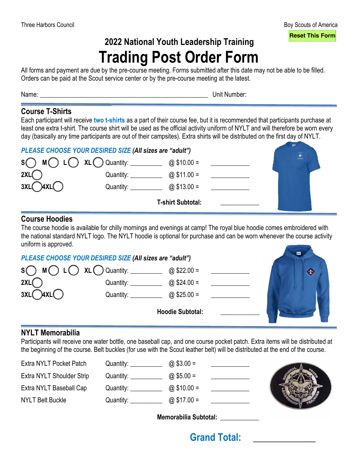### **2022 National Youth Leadership Training Trading Post Order Form**

All forms and payment are due by the pre-course meeting. Forms submitted after this date may not be able to be filled. Orders can be paid at the Scout service center or by the pre-course meeting at the latest.

Name: <u>Name:</u> 2000 and 2000 and 2000 and 2000 and 2000 and 2000 and 2000 and 2000 and 2000 and 2000 and 2000 and 2000 and 2000 and 2000 and 2000 and 2000 and 2000 and 2000 and 2000 and 2000 and 2000 and 2000 and 2000 and 2

#### **Course T-Shirts**

 $\overline{\phantom{a}}$  , and the set of the set of the set of the set of the set of the set of the set of the set of the set of the set of the set of the set of the set of the set of the set of the set of the set of the set of the s

Each participant will receive **two t-shirts** as a part of their course fee, but it is recommended that participants purchase at least one extra t-shirt. The course shirt will be used as the official activity uniform of NYLT and will therefore be worn every day (basically any time participants are out of their campsites). Extra shirts will be distributed on the first day of NYLT.

| PLEASE CHOOSE YOUR DESIRED SIZE (All sizes are "adult") | <b>CLAIR</b>                             |                          |  |      |
|---------------------------------------------------------|------------------------------------------|--------------------------|--|------|
|                                                         | $S \cap M \cap L \cap XL \cap$ Quantity: | @ $$10.00 =$             |  | -ale |
| 2XL(                                                    | Quantity:                                | @ $$11.00 =$             |  |      |
| 3XL(<br>$\cdot$ )4XL( $\cdot$                           | Quantity:                                | @ $$13.00 =$             |  |      |
|                                                         |                                          | <b>T-shirt Subtotal:</b> |  |      |

#### **Course Hoodies**

The course hoodie is available for chilly mornings and evenings at camp! The royal blue hoodie comes embroidered with the national standard NYLT logo. The NYLT hoodie is optional for purchase and can be worn whenever the course activity uniform is approved.

| PLEASE CHOOSE YOUR DESIRED SIZE (All sizes are "adult") | CILONA                                                                          |                         |  |            |
|---------------------------------------------------------|---------------------------------------------------------------------------------|-------------------------|--|------------|
|                                                         | $S \cap M \cap L \cap XL \cap$ Quantity: $\qquad \qquad \textcircled{322.00 =}$ |                         |  | $\bigcirc$ |
| 2XL(                                                    | Quantity: Quantity:                                                             | $@$ \$24.00 =           |  |            |
| $3XL$ $4XL$                                             | Quantity: <u>_______</u>                                                        | @ $$25.00 =$            |  |            |
|                                                         |                                                                                 | <b>Hoodie Subtotal:</b> |  |            |

### **NYLT Memorabilia**

Participants will receive one water bottle, one baseball cap, and one course pocket patch. Extra items will be distributed at the beginning of the course. Belt buckles (for use with the Scout leather belt) will be distributed at the end of the course.

| Extra NYLT Pocket Patch   | Quantity: Quantity:             | @ $$3.00 =$  |  |
|---------------------------|---------------------------------|--------------|--|
| Extra NYLT Shoulder Strip | Quantity: Quantity:             | @ \$5.00 =   |  |
| Extra NYLT Baseball Cap   | Quantity: <u>______________</u> | @ $$10.00 =$ |  |
| <b>NYLT Belt Buckle</b>   | Quantity: __________            | @ \$17.00 =  |  |
|                           |                                 |              |  |



**Memorabilia Subtotal: \_\_\_\_\_\_\_\_\_\_\_\_**

### **Grand Total: \_\_\_\_\_\_\_\_\_\_\_\_\_**